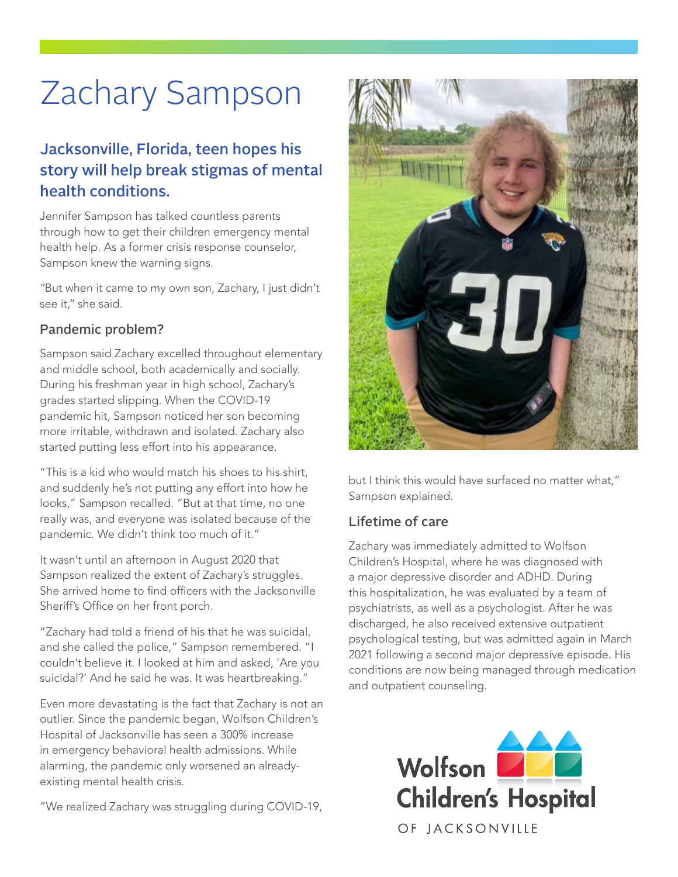# Zachary Sampson

## Jacksonville, Florida, teen hopes his story will help break stigmas of mental health conditions.

Jennifer Sampson has talked countless parents through how to get their children emergency mental health help. As a former crisis response counselor, Sampson knew the warning signs.

"But when it came to my own son, Zachary, I just didn't see it," she said.

#### Pandemic problem?

Sampson said Zachary excelled throughout elementary and middle school, both academically and socially. During his freshman year in high school, Zachary's grades started slipping. When the COVID-19 pandemic hit, Sampson noticed her son becoming more irritable, withdrawn and isolated. Zachary also started putting less effort into his appearance.

"This is a kid who would match his shoes to his shirt, and suddenly he's not putting any effort into how he looks," Sampson recalled. "But at that time, no one really was, and everyone was isolated because of the pandemic. We didn't think too much of it."

It wasn't until an afternoon in August 2020 that Sampson realized the extent of Zachary's struggles. She arrived home to find officers with the Jacksonville Sheriff's Office on her front porch.

"Zachary had told a friend of his that he was suicidal, and she called the police," Sampson remembered. "I couldn't believe it. I looked at him and asked, 'Are you suicidal?' And he said he was. It was heartbreaking."

Even more devastating is the fact that Zachary is not an outlier. Since the pandemic began, Wolfson Children's Hospital of Jacksonville has seen a 300% increase in emergency behavioral health admissions. While alarming, the pandemic only worsened an alreadyexisting mental health crisis.

"We realized Zachary was struggling during COVID-19,



but I think this would have surfaced no matter what," Sampson explained.

### Lifetime of care

Zachary was immediately admitted to Wolfson Children's Hospital, where he was diagnosed with a major depressive disorder and ADHD. During this hospitalization, he was evaluated by a team of psychiatrists, as well as a psychologist. After he was discharged, he also received extensive outpatient psychological testing, but was admitted again in March 2021 following a second major depressive episode. His conditions are now being managed through medication and outpatient counseling.